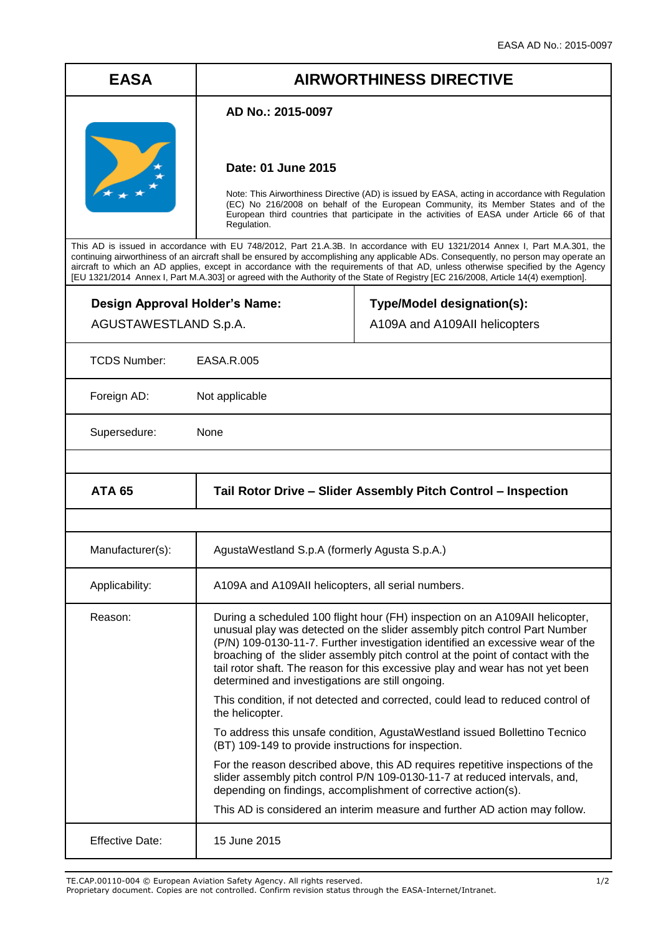# **EASA AIRWORTHINESS DIRECTIVE**

#### **AD No.: 2015-0097**



### **Date: 01 June 2015**

Note: This Airworthiness Directive (AD) is issued by EASA, acting in accordance with Regulation (EC) No 216/2008 on behalf of the European Community, its Member States and of the European third countries that participate in the activities of EASA under Article 66 of that Regulation.

This AD is issued in accordance with EU 748/2012, Part 21.A.3B. In accordance with EU 1321/2014 Annex I, Part M.A.301, the continuing airworthiness of an aircraft shall be ensured by accomplishing any applicable ADs. Consequently, no person may operate an aircraft to which an AD applies, except in accordance with the requirements of that AD, unless otherwise specified by the Agency [EU 1321/2014 Annex I, Part M.A.303] or agreed with the Authority of the State of Registry [EC 216/2008, Article 14(4) exemption].

**Design Approval Holder's Name:** AGUSTAWESTLAND S.p.A.

## **Type/Model designation(s):** A109A and A109AII helicopters

TCDS Number: EASA.R.005

Foreign AD: Not applicable

Supersedure: None

| <b>ATA 65</b>    | Tail Rotor Drive - Slider Assembly Pitch Control - Inspection                                                                                                                                                                                                                                                                                                                                                                                                         |
|------------------|-----------------------------------------------------------------------------------------------------------------------------------------------------------------------------------------------------------------------------------------------------------------------------------------------------------------------------------------------------------------------------------------------------------------------------------------------------------------------|
|                  |                                                                                                                                                                                                                                                                                                                                                                                                                                                                       |
| Manufacturer(s): | AgustaWestland S.p.A (formerly Agusta S.p.A.)                                                                                                                                                                                                                                                                                                                                                                                                                         |
| Applicability:   | A109A and A109AII helicopters, all serial numbers.                                                                                                                                                                                                                                                                                                                                                                                                                    |
| Reason:          | During a scheduled 100 flight hour (FH) inspection on an A109AII helicopter,<br>unusual play was detected on the slider assembly pitch control Part Number<br>(P/N) 109-0130-11-7. Further investigation identified an excessive wear of the<br>broaching of the slider assembly pitch control at the point of contact with the<br>tail rotor shaft. The reason for this excessive play and wear has not yet been<br>determined and investigations are still ongoing. |
|                  | This condition, if not detected and corrected, could lead to reduced control of<br>the helicopter.                                                                                                                                                                                                                                                                                                                                                                    |
|                  | To address this unsafe condition, AgustaWestland issued Bollettino Tecnico<br>(BT) 109-149 to provide instructions for inspection.                                                                                                                                                                                                                                                                                                                                    |
|                  | For the reason described above, this AD requires repetitive inspections of the<br>slider assembly pitch control P/N 109-0130-11-7 at reduced intervals, and,<br>depending on findings, accomplishment of corrective action(s).                                                                                                                                                                                                                                        |
|                  | This AD is considered an interim measure and further AD action may follow.                                                                                                                                                                                                                                                                                                                                                                                            |
| Effective Date:  | 15 June 2015                                                                                                                                                                                                                                                                                                                                                                                                                                                          |

TE.CAP.00110-004 © European Aviation Safety Agency. All rights reserved. 1/2

Proprietary document. Copies are not controlled. Confirm revision status through the EASA-Internet/Intranet.